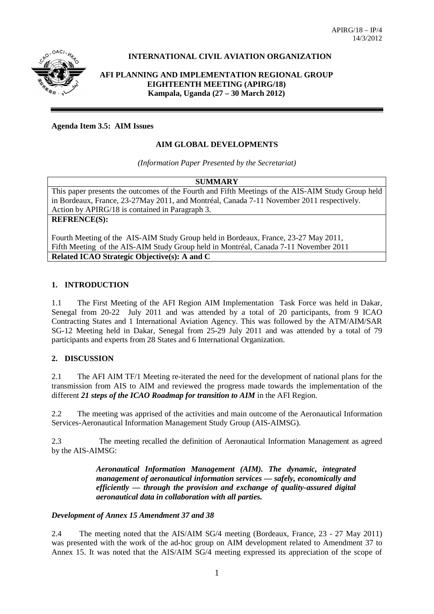

# **INTERNATIONAL CIVIL AVIATION ORGANIZATION**

**AFI PLANNING AND IMPLEMENTATION REGIONAL GROUP EIGHTEENTH MEETING (APIRG/18) Kampala, Uganda (27 – 30 March 2012)**

**Agenda Item 3.5: AIM Issues**

## **AIM GLOBAL DEVELOPMENTS**

*(Information Paper Presented by the Secretariat)*

#### **SUMMARY**

This paper presents the outcomes of the Fourth and Fifth Meetings of the AIS-AIM Study Group held in Bordeaux, France, 23-27May 2011, and Montréal, Canada 7-11 November 2011 respectively. Action by APIRG/18 is contained in Paragraph 3.

**REFRENCE(S):**

Fourth Meeting of the AIS-AIM Study Group held in Bordeaux, France, 23-27 May 2011, Fifth Meeting of the AIS-AIM Study Group held in Montréal, Canada 7-11 November 2011 **Related ICAO Strategic Objective(s): A and C**

### **1. INTRODUCTION**

1.1 The First Meeting of the AFI Region AIM Implementation Task Force was held in Dakar, Senegal from 20-22 July 2011 and was attended by a total of 20 participants, from 9 ICAO Contracting States and 1 International Aviation Agency. This was followed by the ATM/AIM/SAR SG-12 Meeting held in Dakar, Senegal from 25-29 July 2011 and was attended by a total of 79 participants and experts from 28 States and 6 International Organization.

## **2. DISCUSSION**

2.1 The AFI AIM TF/1 Meeting re-iterated the need for the development of national plans for the transmission from AIS to AIM and reviewed the progress made towards the implementation of the different *21 steps of the ICAO Roadmap for transition to AIM* in the AFI Region.

2.2 The meeting was apprised of the activities and main outcome of the Aeronautical Information Services-Aeronautical Information Management Study Group (AIS-AIMSG).

2.3 The meeting recalled the definition of Aeronautical Information Management as agreed by the AIS-AIMSG:

> *Aeronautical Information Management (AIM). The dynamic, integrated management of aeronautical information services — safely, economically and efficiently — through the provision and exchange of quality-assured digital aeronautical data in collaboration with all parties.*

#### *Development of Annex 15 Amendment 37 and 38*

2.4 The meeting noted that the AIS/AIM SG/4 meeting (Bordeaux, France, 23 - 27 May 2011) was presented with the work of the ad-hoc group on AIM development related to Amendment 37 to Annex 15. It was noted that the AIS/AIM SG/4 meeting expressed its appreciation of the scope of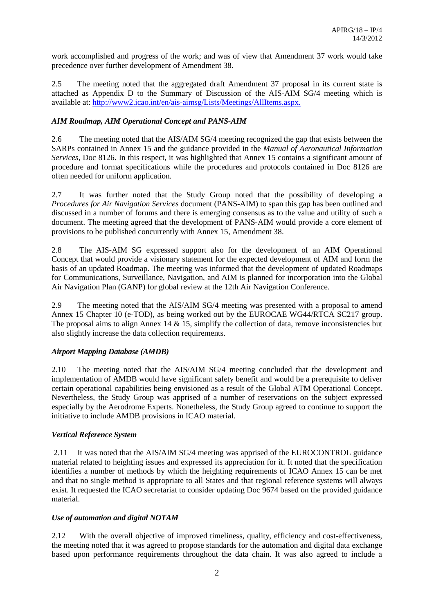work accomplished and progress of the work; and was of view that Amendment 37 work would take precedence over further development of Amendment 38.

2.5 The meeting noted that the aggregated draft Amendment 37 proposal in its current state is attached as Appendix D to the Summary of Discussion of the AIS-AIM SG/4 meeting which is available at:<http://www2.icao.int/en/ais-aimsg/Lists/Meetings/AllItems.aspx.>

## *AIM Roadmap, AIM Operational Concept and PANS-AIM*

2.6 The meeting noted that the AIS/AIM SG/4 meeting recognized the gap that exists between the SARPs contained in Annex 15 and the guidance provided in the *Manual of Aeronautical Information Services,* Doc 8126. In this respect, it was highlighted that Annex 15 contains a significant amount of procedure and format specifications while the procedures and protocols contained in Doc 8126 are often needed for uniform application.

2.7 It was further noted that the Study Group noted that the possibility of developing a *Procedures for Air Navigation Services* document (PANS-AIM) to span this gap has been outlined and discussed in a number of forums and there is emerging consensus as to the value and utility of such a document. The meeting agreed that the development of PANS-AIM would provide a core element of provisions to be published concurrently with Annex 15, Amendment 38.

2.8 The AIS-AIM SG expressed support also for the development of an AIM Operational Concept that would provide a visionary statement for the expected development of AIM and form the basis of an updated Roadmap. The meeting was informed that the development of updated Roadmaps for Communications, Surveillance, Navigation, and AIM is planned for incorporation into the Global Air Navigation Plan (GANP) for global review at the 12th Air Navigation Conference.

2.9 The meeting noted that the AIS/AIM SG/4 meeting was presented with a proposal to amend Annex 15 Chapter 10 (e-TOD), as being worked out by the EUROCAE WG44/RTCA SC217 group. The proposal aims to align Annex 14  $\&$  15, simplify the collection of data, remove inconsistencies but also slightly increase the data collection requirements.

## *Airport Mapping Database (AMDB)*

2.10 The meeting noted that the AIS/AIM SG/4 meeting concluded that the development and implementation of AMDB would have significant safety benefit and would be a prerequisite to deliver certain operational capabilities being envisioned as a result of the Global ATM Operational Concept. Nevertheless, the Study Group was apprised of a number of reservations on the subject expressed especially by the Aerodrome Experts. Nonetheless, the Study Group agreed to continue to support the initiative to include AMDB provisions in ICAO material.

## *Vertical Reference System*

2.11 It was noted that the AIS/AIM SG/4 meeting was apprised of the EUROCONTROL guidance material related to heighting issues and expressed its appreciation for it. It noted that the specification identifies a number of methods by which the heighting requirements of ICAO Annex 15 can be met and that no single method is appropriate to all States and that regional reference systems will always exist. It requested the ICAO secretariat to consider updating Doc 9674 based on the provided guidance material.

## *Use of automation and digital NOTAM*

2.12 With the overall objective of improved timeliness, quality, efficiency and cost-effectiveness, the meeting noted that it was agreed to propose standards for the automation and digital data exchange based upon performance requirements throughout the data chain. It was also agreed to include a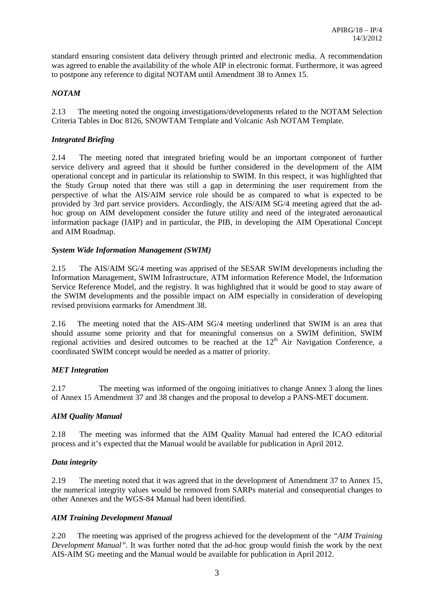standard ensuring consistent data delivery through printed and electronic media. A recommendation was agreed to enable the availability of the whole AIP in electronic format. Furthermore, it was agreed to postpone any reference to digital NOTAM until Amendment 38 to Annex 15.

# *NOTAM*

2.13 The meeting noted the ongoing investigations/developments related to the NOTAM Selection Criteria Tables in Doc 8126, SNOWTAM Template and Volcanic Ash NOTAM Template.

# *Integrated Briefing*

2.14 The meeting noted that integrated briefing would be an important component of further service delivery and agreed that it should be further considered in the development of the AIM operational concept and in particular its relationship to SWIM. In this respect, it was highlighted that the Study Group noted that there was still a gap in determining the user requirement from the perspective of what the AIS/AIM service role should be as compared to what is expected to be provided by 3rd part service providers. Accordingly, the AIS/AIM SG/4 meeting agreed that the adhoc group on AIM development consider the future utility and need of the integrated aeronautical information package (IAIP) and in particular, the PIB, in developing the AIM Operational Concept and AIM Roadmap.

## *System Wide Information Management (SWIM)*

2.15 The AIS/AIM SG/4 meeting was apprised of the SESAR SWIM developments including the Information Management, SWIM Infrastructure, ATM information Reference Model, the Information Service Reference Model, and the registry. It was highlighted that it would be good to stay aware of the SWIM developments and the possible impact on AIM especially in consideration of developing revised provisions earmarks for Amendment 38.

2.16 The meeting noted that the AIS-AIM SG/4 meeting underlined that SWIM is an area that should assume some priority and that for meaningful consensus on a SWIM definition, SWIM regional activities and desired outcomes to be reached at the  $12<sup>th</sup>$  Air Navigation Conference, a coordinated SWIM concept would be needed as a matter of priority.

## *MET Integration*

2.17 The meeting was informed of the ongoing initiatives to change Annex 3 along the lines of Annex 15 Amendment 37 and 38 changes and the proposal to develop a PANS-MET document.

## *AIM Quality Manual*

2.18 The meeting was informed that the AIM Quality Manual had entered the ICAO editorial process and it's expected that the Manual would be available for publication in April 2012.

#### *Data integrity*

2.19 The meeting noted that it was agreed that in the development of Amendment 37 to Annex 15, the numerical integrity values would be removed from SARPs material and consequential changes to other Annexes and the WGS-84 Manual had been identified.

## *AIM Training Development Manual*

2.20 The meeting was apprised of the progress achieved for the development of the *"AIM Training Development Manual".* It was further noted that the ad-hoc group would finish the work by the next AIS-AIM SG meeting and the Manual would be available for publication in April 2012.